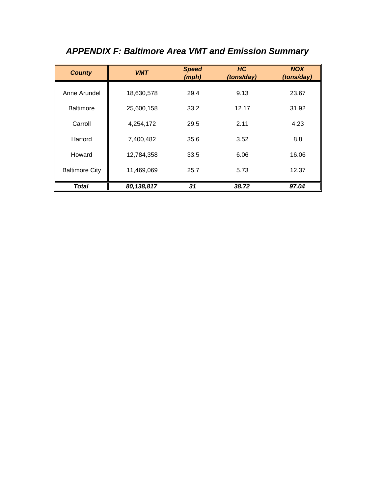| <b>County</b>         | <b>VMT</b> | <b>Speed</b><br>(mph) | HC<br>(tons/day) | <b>NOX</b><br>(tons/day) |
|-----------------------|------------|-----------------------|------------------|--------------------------|
| Anne Arundel          | 18,630,578 | 29.4                  | 9.13             | 23.67                    |
| <b>Baltimore</b>      | 25,600,158 | 33.2                  | 12.17            | 31.92                    |
| Carroll               | 4,254,172  | 29.5                  | 2.11             | 4.23                     |
| Harford               | 7,400,482  | 35.6                  | 3.52             | 8.8                      |
| Howard                | 12,784,358 | 33.5                  | 6.06             | 16.06                    |
| <b>Baltimore City</b> | 11,469,069 | 25.7                  | 5.73             | 12.37                    |
| <b>Total</b>          | 80,138,817 | 31                    | 38.72            | 97.04                    |

# *APPENDIX F: Baltimore Area VMT and Emission Summary*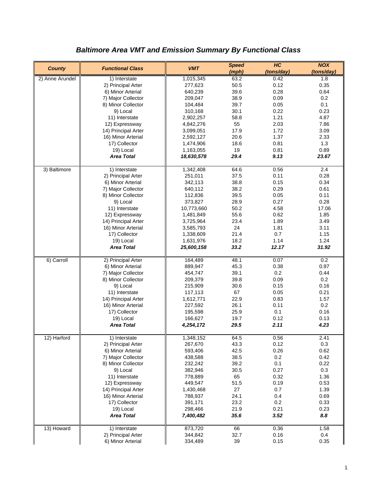| <b>County</b>   | <b>Functional Class</b> | <b>VMT</b> | <b>Speed</b><br>(mph) | H <sub>C</sub><br>(tons/day) | <b>NOX</b><br>(tons/day) |
|-----------------|-------------------------|------------|-----------------------|------------------------------|--------------------------|
| 2) Anne Arundel | 1) Interstate           | 1,015,345  | 63.2                  | 0.42                         | 1.8                      |
|                 | 2) Principal Arter      | 277,623    | 50.5                  | 0.12                         | 0.35                     |
|                 | 6) Minor Arterial       | 640,239    | 39.6                  | 0.28                         | 0.64                     |
|                 | 7) Major Collector      | 209,047    | 38.9                  | 0.09                         | 0.2                      |
|                 | 8) Minor Collector      | 104,484    | 39.7                  | 0.05                         | 0.1                      |
|                 | 9) Local                | 310,168    | 30.1                  | 0.22                         | 0.23                     |
|                 | 11) Interstate          | 2,902,257  | 58.8                  | 1.21                         | 4.87                     |
|                 | 12) Expressway          | 4,842,276  | 55                    | 2.03                         | 7.86                     |
|                 | 14) Principal Arter     | 3,099,051  | 17.9                  | 1.72                         | 3.09                     |
|                 | 16) Minor Arterial      | 2,592,127  | 20.6                  | 1.37                         | 2.33                     |
|                 | 17) Collector           | 1,474,906  | 18.6                  | 0.81                         | 1.3                      |
|                 | 19) Local               | 1,163,055  | 19                    | 0.81                         | 0.89                     |
|                 | <b>Area Total</b>       | 18,630,578 | 29.4                  | 9.13                         | 23.67                    |
| 3) Baltimore    | 1) Interstate           | 1,342,408  | 64.6                  | 0.56                         | 2.4                      |
|                 | 2) Principal Arter      | 251,011    | 37.5                  | 0.11                         | 0.28                     |
|                 | 6) Minor Arterial       | 342,113    | 38.8                  | 0.15                         | 0.34                     |
|                 | 7) Major Collector      | 640,112    | 38.2                  | 0.29                         | 0.61                     |
|                 | 8) Minor Collector      | 112,836    | 39.5                  | 0.05                         | 0.11                     |
|                 | 9) Local                | 373,827    | 28.9                  | 0.27                         | 0.28                     |
|                 | 11) Interstate          | 10,773,660 | 50.2                  | 4.58                         | 17.06                    |
|                 | 12) Expressway          | 1,481,849  | 55.6                  | 0.62                         | 1.85                     |
|                 | 14) Principal Arter     | 3,725,964  | 23.4                  | 1.89                         | 3.49                     |
|                 | 16) Minor Arterial      | 3,585,793  | 24                    | 1.81                         | 3.11                     |
|                 | 17) Collector           | 1,338,609  | 21.4                  | 0.7                          | 1.15                     |
|                 | 19) Local               | 1,631,976  | 18.2                  | 1.14                         | 1.24                     |
|                 | <b>Area Total</b>       | 25,600,158 | 33.2                  | 12.17                        | 31.92                    |
| 6) Carroll      | 2) Principal Arter      | 164,489    | 48.1                  | 0.07                         | 0.2                      |
|                 | 6) Minor Arterial       | 889,947    | 45.3                  | 0.38                         | 0.97                     |
|                 | 7) Major Collector      | 454,747    | 39.1                  | 0.2                          | 0.44                     |
|                 | 8) Minor Collector      | 209,379    | 39.8                  | 0.09                         | 0.2                      |
|                 | 9) Local                | 215,909    | 30.6                  | 0.15                         | 0.16                     |
|                 | 11) Interstate          | 117,113    | 67                    | 0.05                         | 0.21                     |
|                 | 14) Principal Arter     | 1,612,771  | 22.9                  | 0.83                         | 1.57                     |
|                 | 16) Minor Arterial      | 227,592    | 26.1                  | 0.11                         | 0.2                      |
|                 | 17) Collector           | 195,598    | 25.9                  | 0.1                          | 0.16                     |
|                 | 19) Local               | 166,627    | 19.7                  | 0.12                         | 0.13                     |
|                 | <b>Area Total</b>       | 4,254,172  | 29.5                  | 2.11                         | 4.23                     |
| 12) Harford     | 1) Interstate           | 1,348,152  | 64.5                  | 0.56                         | 2.41                     |
|                 | 2) Principal Arter      | 267,670    | 43.3                  | 0.12                         | $0.3\,$                  |
|                 | 6) Minor Arterial       | 593,406    | 42.5                  | 0.26                         | 0.62                     |
|                 | 7) Major Collector      | 438,588    | 38.5                  | 0.2                          | 0.42                     |
|                 | 8) Minor Collector      | 232,242    | 39.2                  | 0.1                          | 0.22                     |
|                 | 9) Local                | 382,946    | 30.5                  | 0.27                         | 0.3                      |
|                 | 11) Interstate          | 778,889    | 65                    | 0.32                         | 1.36                     |
|                 | 12) Expressway          | 449,547    | 51.5                  | 0.19                         | 0.53                     |
|                 | 14) Principal Arter     | 1,430,468  | 27                    | 0.7                          | 1.39                     |
|                 | 16) Minor Arterial      | 788,937    | 24.1                  | 0.4                          | 0.69                     |
|                 | 17) Collector           | 391,171    | 23.2                  | 0.2                          | 0.33                     |
|                 | 19) Local               | 298,466    | 21.9                  | 0.21                         | 0.23                     |
|                 | <b>Area Total</b>       | 7,400,482  | 35.6                  | 3.52                         | 8.8                      |
| 13) Howard      | 1) Interstate           | 873,720    | 66                    | 0.36                         | 1.58                     |
|                 | 2) Principal Arter      | 344,842    | 32.7                  | 0.16                         | 0.4                      |
|                 | 6) Minor Arterial       | 334,489    | 39                    | 0.15                         | 0.35                     |

# *Baltimore Area VMT and Emission Summary By Functional Class*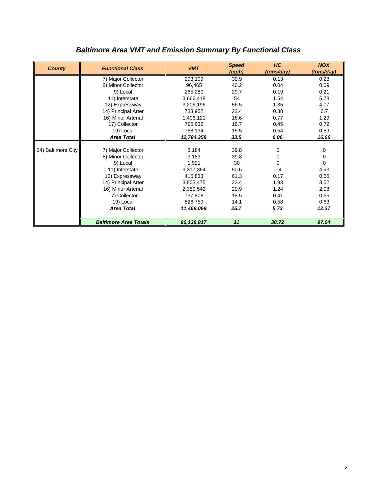| <b>County</b>      | <b>Functional Class</b>      | <b>VMT</b> | <b>Speed</b> | HC         | <b>NOX</b> |
|--------------------|------------------------------|------------|--------------|------------|------------|
|                    |                              |            | (mph)        | (tons/day) | (tons/day) |
|                    | 7) Major Collector           | 293,109    | 39.9         | 0.13       | 0.28       |
|                    | 8) Minor Collector           | 96,465     | 40.2         | 0.04       | 0.09       |
|                    | 9) Local                     | 265,280    | 29.7         | 0.19       | 0.21       |
|                    | 11) Interstate               | 3,666,418  | 54           | 1.54       | 5.78       |
|                    | 12) Expressway               | 3,206,196  | 56.5         | 1.35       | 4.07       |
|                    | 14) Principal Arter          | 733,952    | 22.4         | 0.38       | 0.7        |
|                    | 16) Minor Arterial           | 1,406,121  | 18.6         | 0.77       | 1.29       |
|                    | 17) Collector                | 795,632    | 16.7         | 0.45       | 0.72       |
|                    | 19) Local                    | 768,134    | 15.5         | 0.54       | 0.59       |
|                    | <b>Area Total</b>            | 12,784,358 | 33.5         | 6.06       | 16.06      |
|                    |                              |            |              |            |            |
| 24) Baltimore City | 7) Major Collector           | 3,184      | 39.8         | 0          | 0          |
|                    | 8) Minor Collector           | 3,183      | 39.8         | 0          | 0          |
|                    | 9) Local                     | 1,921      | 30           | $\Omega$   | $\Omega$   |
|                    | 11) Interstate               | 3,317,364  | 50.6         | 1.4        | 4.93       |
|                    | 12) Expressway               | 415,833    | 61.3         | 0.17       | 0.55       |
|                    | 14) Principal Arter          | 3,803,475  | 23.4         | 1.93       | 3.52       |
|                    | 16) Minor Arterial           | 2,359,542  | 20.9         | 1.24       | 2.08       |
|                    | 17) Collector                | 737.808    | 18.5         | 0.41       | 0.65       |
|                    | 19) Local                    | 826,759    | 14.1         | 0.58       | 0.63       |
|                    | <b>Area Total</b>            | 11,469,069 | 25.7         | 5.73       | 12.37      |
|                    |                              |            |              |            |            |
|                    | <b>Baltimore Area Totals</b> | 80,138,817 | 31           | 38.72      | 97.04      |

# *Baltimore Area VMT and Emission Summary By Functional Class*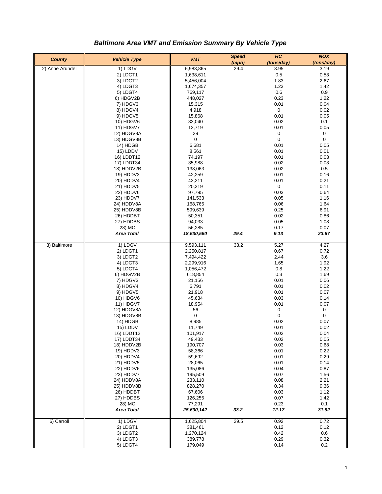| <b>County</b>   | <b>Vehicle Type</b> | <b>VMT</b>  | <b>Speed</b> | H <sub>C</sub> | <b>NOX</b>   |
|-----------------|---------------------|-------------|--------------|----------------|--------------|
|                 |                     |             | (mph)        | (tons/day)     | (tons/day)   |
| 2) Anne Arundel | 1) LDGV             | 6,983,865   | 29.4         | 3.95           | 3.19         |
|                 | 2) LDGT1            | 1,638,611   |              | 0.5            | 0.53         |
|                 | 3) LDGT2            | 5,456,004   |              | 1.83           | 2.67         |
|                 | 4) LDGT3            | 1,674,357   |              | 1.23           | 1.42         |
|                 | 5) LDGT4            | 769,117     |              | 0.6            | 0.9          |
|                 | 6) HDGV2B           | 448,027     |              | 0.23           | 1.22         |
|                 | 7) HDGV3            | 15,315      |              | 0.01           | 0.04         |
|                 | 8) HDGV4            | 4,918       |              | 0              | 0.02         |
|                 | 9) HDGV5            | 15,868      |              | 0.01           | 0.05         |
|                 | 10) HDGV6           | 33,040      |              | 0.02           | 0.1          |
|                 | 11) HDGV7           | 13,719      |              | 0.01           | 0.05         |
|                 | 12) HDGV8A          | 39          |              | 0              | 0            |
|                 | 13) HDGV8B          | $\mathbf 0$ |              | 0              | $\pmb{0}$    |
|                 | 14) HDGB            | 6,681       |              | 0.01           | 0.05         |
|                 | 15) LDDV            | 8,561       |              | 0.01           | 0.01         |
|                 | 16) LDDT12          | 74,197      |              | 0.01           | 0.03         |
|                 | 17) LDDT34          | 35,988      |              | 0.02           | 0.03         |
|                 | 18) HDDV2B          | 138,063     |              | 0.02           | 0.5          |
|                 | 19) HDDV3           | 42,259      |              | 0.01           | 0.16         |
|                 | 20) HDDV4           | 43,211      |              | 0.01           | 0.21         |
|                 | 21) HDDV5           | 20,319      |              | 0              | 0.11         |
|                 | 22) HDDV6           | 97,795      |              | 0.03           | 0.64         |
|                 | 23) HDDV7           | 141,533     |              | 0.05           | 1.16         |
|                 | 24) HDDV8A          | 168,765     |              | 0.06           | 1.64         |
|                 | 25) HDDV8B          | 599,639     |              | 0.25           | 6.91         |
|                 | 26) HDDBT           | 50,351      |              | 0.02           | 0.86         |
|                 | 27) HDDBS           |             |              | 0.05           |              |
|                 |                     | 94,033      |              |                | 1.08<br>0.07 |
|                 | 28) MC              | 56,285      |              | 0.17           |              |
|                 | <b>Area Total</b>   | 18,630,560  | 29.4         | 9.13           | 23.67        |
| 3) Baltimore    | 1) LDGV             | 9,593,111   | 33.2         | 5.27           | 4.27         |
|                 | 2) LDGT1            | 2,250,817   |              | 0.67           | 0.72         |
|                 | 3) LDGT2            | 7,494,422   |              | 2.44           | 3.6          |
|                 | 4) LDGT3            | 2,299,916   |              | 1.65           | 1.92         |
|                 | 5) LDGT4            | 1,056,472   |              | 0.8            | 1.22         |
|                 | 6) HDGV2B           | 618,854     |              | 0.3            | 1.69         |
|                 | 7) HDGV3            | 21,156      |              | 0.01           | 0.06         |
|                 | 8) HDGV4            | 6,791       |              | 0.01           | 0.02         |
|                 | 9) HDGV5            | 21,918      |              | 0.01           | 0.07         |
|                 | 10) HDGV6           | 45,634      |              | 0.03           | 0.14         |
|                 | 11) HDGV7           | 18,954      |              | 0.01           | 0.07         |
|                 | 12) HDGV8A          | 56          |              | 0              | $\pmb{0}$    |
|                 | 13) HDGV8B          | 0           |              | 0              | 0            |
|                 | 14) HDGB            | 8,985       |              | 0.02           | 0.07         |
|                 | 15) LDDV            | 11,749      |              | 0.01           | 0.02         |
|                 | 16) LDDT12          | 101,917     |              | 0.02           | 0.04         |
|                 | 17) LDDT34          | 49,433      |              | 0.02           | 0.05         |
|                 | 18) HDDV2B          | 190,707     |              | 0.03           | 0.68         |
|                 | 19) HDDV3           | 58,366      |              | 0.01           | 0.22         |
|                 | 20) HDDV4           | 59,692      |              | 0.01           | 0.29         |
|                 | 21) HDDV5           | 28,065      |              | 0.01           | 0.14         |
|                 | 22) HDDV6           | 135,086     |              | 0.04           | 0.87         |
|                 | 23) HDDV7           | 195,509     |              | 0.07           | 1.56         |
|                 | 24) HDDV8A          | 233,110     |              | 0.08           | 2.21         |
|                 | 25) HDDV8B          | 828,270     |              | 0.34           | 9.36         |
|                 | 26) HDDBT           | 67,606      |              | 0.03           | 1.12         |
|                 | 27) HDDBS           | 126,255     |              | 0.07           | 1.42         |
|                 | 28) MC              | 77,291      |              | 0.23           | 0.1          |
|                 | <b>Area Total</b>   | 25,600,142  | 33.2         | 12.17          | 31.92        |
|                 |                     |             |              |                |              |
| 6) Carroll      | 1) LDGV             | 1,625,804   | 29.5         | 0.92           | 0.72         |
|                 | 2) LDGT1            | 381,461     |              | 0.12           | 0.12         |
|                 | 3) LDGT2            | 1,270,124   |              | 0.42           | 0.6          |
|                 | 4) LDGT3            | 389,778     |              | 0.29           | 0.32         |
|                 | 5) LDGT4            | 179,049     |              | 0.14           | 0.2          |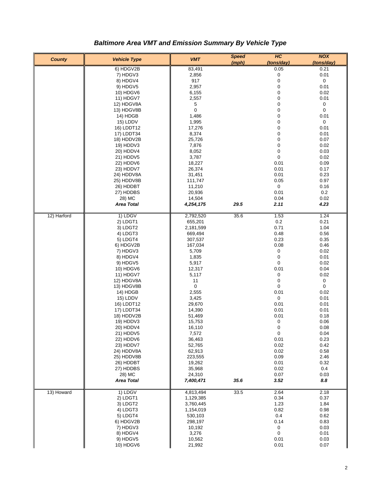| <b>County</b> | <b>Vehicle Type</b>      | <b>VMT</b>      | <b>Speed</b> | H <sub>C</sub>      | <b>NOX</b>         |
|---------------|--------------------------|-----------------|--------------|---------------------|--------------------|
|               | 6) HDGV2B                | 83,491          | (mph)        | (tons/day)<br>0.05  | (tons/day)<br>0.21 |
|               | 7) HDGV3                 | 2,856           |              | 0                   | 0.01               |
|               | 8) HDGV4                 | 917             |              | 0                   | 0                  |
|               | 9) HDGV5                 | 2,957           |              | 0                   | 0.01               |
|               | 10) HDGV6                | 6,155           |              | 0                   | 0.02               |
|               | 11) HDGV7                | 2,557           |              | 0                   | 0.01               |
|               | 12) HDGV8A               | 5               |              | 0                   | 0                  |
|               | 13) HDGV8B               | 0               |              | 0                   | 0                  |
|               | 14) HDGB                 | 1,486           |              | 0                   | 0.01               |
|               | 15) LDDV                 | 1,995           |              | 0                   | 0                  |
|               | 16) LDDT12               | 17,276          |              | 0                   | 0.01               |
|               | 17) LDDT34               | 8,374           |              | 0                   | 0.01               |
|               | 18) HDDV2B               | 25,726          |              | 0                   | 0.07               |
|               | 19) HDDV3                | 7,876           |              | 0                   | 0.02               |
|               | 20) HDDV4                | 8,052           |              | 0                   | 0.03               |
|               | 21) HDDV5                | 3,787           |              | 0                   | 0.02               |
|               | 22) HDDV6                | 18,227          |              | 0.01                | 0.09               |
|               | 23) HDDV7                | 26,374          |              | 0.01                | 0.17               |
|               | 24) HDDV8A               | 31,451          |              | 0.01                | 0.23               |
|               | 25) HDDV8B               | 111,747         |              | 0.05                | 0.97               |
|               | 26) HDDBT                | 11,210          |              | 0                   | 0.16               |
|               | 27) HDDBS                | 20,936          |              | 0.01                | 0.2                |
|               | 28) MC                   | 14,504          |              | 0.04                | 0.02               |
|               | <b>Area Total</b>        | 4,254,175       | 29.5         | 2.11                | 4.23               |
| 12) Harford   | 1) LDGV                  | 2,792,520       | 35.6         | 1.53                | 1.24               |
|               | 2) LDGT1                 | 655,201         |              | $0.2\,$             | 0.21               |
|               | 3) LDGT2                 | 2,181,599       |              | 0.71                | 1.04               |
|               | 4) LDGT3                 | 669,494         |              | 0.48                | 0.56               |
|               | 5) LDGT4                 | 307,537         |              | 0.23                | 0.35               |
|               | 6) HDGV2B                | 167,034         |              | 0.08                | 0.46               |
|               | 7) HDGV3                 | 5,709           |              | 0                   | 0.02               |
|               | 8) HDGV4                 | 1,835           |              | 0                   | 0.01               |
|               | 9) HDGV5                 | 5,917           |              | 0                   | 0.02               |
|               | 10) HDGV6                | 12,317          |              | 0.01                | 0.04               |
|               | 11) HDGV7                | 5,117           |              | 0                   | 0.02               |
|               | 12) HDGV8A               | 11              |              | 0                   | 0                  |
|               | 13) HDGV8B               | 0               |              | 0                   | 0                  |
|               | 14) HDGB                 | 2,555           |              | 0.01                | 0.02               |
|               | 15) LDDV                 | 3,425<br>29,670 |              | $\mathbf 0$<br>0.01 | 0.01<br>0.01       |
|               | 16) LDDT12<br>17) LDDT34 | 14,390          |              | 0.01                | 0.01               |
|               | 18) HDDV2B               | 51,469          |              | 0.01                | 0.18               |
|               | 19) HDDV3                | 15,753          |              | 0                   | 0.06               |
|               | 20) HDDV4                | 16,110          |              | 0                   | 0.08               |
|               | 21) HDDV5                | 7,572           |              | 0                   | 0.04               |
|               | 22) HDDV6                | 36,463          |              | 0.01                | 0.23               |
|               | 23) HDDV7                | 52,765          |              | 0.02                | 0.42               |
|               | 24) HDDV8A               | 62,913          |              | 0.02                | 0.58               |
|               | 25) HDDV8B               | 223,555         |              | 0.09                | 2.46               |
|               | 26) HDDBT                | 19,262          |              | 0.01                | 0.32               |
|               | 27) HDDBS                | 35,968          |              | 0.02                | 0.4                |
|               | 28) MC                   | 24,310          |              | 0.07                | 0.03               |
|               | <b>Area Total</b>        | 7,400,471       | 35.6         | 3.52                | 8.8                |
| 13) Howard    | 1) LDGV                  | 4,813,494       | 33.5         | 2.64                | 2.18               |
|               | 2) LDGT1                 | 1,129,385       |              | 0.34                | 0.37               |
|               | 3) LDGT2                 | 3,760,445       |              | 1.23                | 1.84               |
|               | 4) LDGT3                 | 1,154,019       |              | 0.82                | 0.98               |
|               | 5) LDGT4                 | 530,103         |              | 0.4                 | 0.62               |
|               | 6) HDGV2B                | 298,197         |              | 0.14                | 0.83               |
|               | 7) HDGV3                 | 10,192          |              | 0                   | 0.03               |
|               | 8) HDGV4                 | 3,276           |              | $\pmb{0}$           | 0.01               |
|               | 9) HDGV5                 | 10,562          |              | 0.01                | 0.03               |
|               | 10) HDGV6                | 21,992          |              | 0.01                | 0.07               |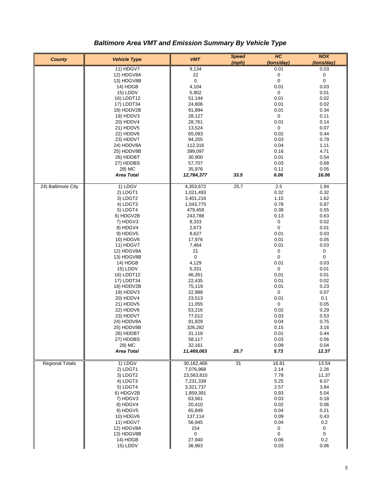| <b>County</b>          | <b>Vehicle Type</b>     | <b>VMT</b>        | <b>Speed</b><br>(mph) | H <sub>C</sub><br>(tons/day) | <b>NOX</b><br>(tons/day) |
|------------------------|-------------------------|-------------------|-----------------------|------------------------------|--------------------------|
|                        | 11) HDGV7               | 9,134             |                       | 0.01                         | 0.03                     |
|                        | 12) HDGV8A              | 22                |                       | 0                            | 0                        |
|                        | 13) HDGV8B              | $\mathbf 0$       |                       | 0                            | 0                        |
|                        | 14) HDGB                | 4,104             |                       | 0.01                         | 0.03                     |
|                        | 15) LDDV                | 5,902             |                       | 0                            | 0.01                     |
|                        | 16) LDDT12              | 51,144            |                       | 0.01                         | 0.02                     |
|                        | 17) LDDT34              | 24,806            |                       | 0.01                         | 0.02                     |
|                        | 18) HDDV2B              | 91,894            |                       | 0.01                         | 0.34                     |
|                        | 19) HDDV3               | 28,127            |                       | 0                            | 0.11                     |
|                        | 20) HDDV4               | 28,761            |                       | 0.01                         | 0.14                     |
|                        | 21) HDDV5               | 13,524            |                       | 0                            | 0.07                     |
|                        | 22) HDDV6               | 65,093            |                       | 0.02                         | 0.44                     |
|                        | 23) HDDV7               | 94,205            |                       | 0.03                         | 0.79                     |
|                        | 24) HDDV8A              | 112,316           |                       | 0.04                         | 1.11                     |
|                        | 25) HDDV8B              | 399,097           |                       | 0.16<br>0.01                 | 4.71                     |
|                        | 26) HDDBT<br>27) HDDBS  | 30,900<br>57,707  |                       | 0.03                         | 0.54<br>0.68             |
|                        | 28) MC                  | 35,976            |                       | 0.11                         | 0.05                     |
|                        | <b>Area Total</b>       | 12,784,377        | 33.5                  | 6.06                         | 16.06                    |
|                        |                         |                   |                       |                              |                          |
| 24) Baltimore City     | 1) LDGV                 | 4,353,672         | 25.7                  | 2.5                          | 1.94                     |
|                        | 2) LDGT1                | 1,021,493         |                       | 0.32                         | 0.32                     |
|                        | 3) LDGT2                | 3,401,216         |                       | 1.15                         | 1.62                     |
|                        | 4) LDGT3                | 1,043,775         |                       | 0.78                         | 0.87                     |
|                        | 5) LDGT4                | 479,459           |                       | 0.38                         | 0.55                     |
|                        | 6) HDGV2B               | 243,788           |                       | 0.13                         | 0.63<br>0.02             |
|                        | 7) HDGV3<br>8) HDGV4    | 8,333<br>2,673    |                       | 0<br>0                       | 0.01                     |
|                        | 9) HDGV5                | 8,627             |                       | 0.01                         | 0.03                     |
|                        | 10) HDGV6               | 17,976            |                       | 0.01                         | 0.05                     |
|                        | 11) HDGV7               | 7,464             |                       | 0.01                         | 0.03                     |
|                        | 12) HDGV8A              | 21                |                       | 0                            | 0                        |
|                        | 13) HDGV8B              | $\mathbf 0$       |                       | 0                            | 0                        |
|                        | 14) HDGB                | 4,129             |                       | 0.01                         | 0.03                     |
|                        | 15) LDDV                | 5,331             |                       | 0                            | 0.01                     |
|                        | 16) LDDT12              | 46,261            |                       | 0.01                         | 0.01                     |
|                        | 17) LDDT34              | 22,435            |                       | 0.01                         | 0.02                     |
|                        | 18) HDDV2B              | 75,119            |                       | 0.01                         | 0.23                     |
|                        | 19) HDDV3               | 22,988            |                       | 0                            | 0.07                     |
|                        | 20) HDDV4               | 23,513            |                       | 0.01                         | 0.1                      |
|                        | 21) HDDV5               | 11,055            |                       | 0                            | 0.05                     |
|                        | 22) HDDV6               | 53,216            |                       | 0.02                         | 0.29                     |
|                        | 23) HDDV7               | 77,012            |                       | 0.03                         | 0.53                     |
|                        | 24) HDDV8A              | 91,829            |                       | 0.04                         | 0.75                     |
|                        | 25) HDDV8B<br>26) HDDBT | 326,282<br>31,118 |                       | 0.15<br>0.01                 | 3.16<br>0.44             |
|                        | 27) HDDBS               | 58,117            |                       | 0.03                         | 0.56                     |
|                        | 28) MC                  | 32,161            |                       | 0.09                         | 0.04                     |
|                        | <b>Area Total</b>       | 11,469,063        | 25.7                  | 5.73                         | 12.37                    |
| <b>Regional Totals</b> | 1) LDGV                 | 30,162,466        | 31                    | 16.81                        | 13.54                    |
|                        | 2) LDGT1                | 7,076,968         |                       | 2.14                         | 2.26                     |
|                        | 3) LDGT2                | 23,563,810        |                       | 7.78                         | 11.37                    |
|                        | 4) LDGT3                | 7,231,339         |                       | 5.25                         | 6.07                     |
|                        | 5) LDGT4                | 3,321,737         |                       | 2.57                         | 3.84                     |
|                        | 6) HDGV2B               | 1,859,391         |                       | 0.93                         | 5.04                     |
|                        | 7) HDGV3                | 63,561            |                       | 0.03                         | 0.18                     |
|                        | 8) HDGV4                | 20,410            |                       | 0.02                         | 0.06                     |
|                        | 9) HDGV5                | 65,849            |                       | 0.04                         | 0.21                     |
|                        | 10) HDGV6               | 137,114           |                       | 0.09                         | 0.43                     |
|                        | 11) HDGV7               | 56,945            |                       | 0.04                         | 0.2                      |
|                        | 12) HDGV8A              | 154               |                       | 0                            | 0                        |
|                        | 13) HDGV8B              | 0                 |                       | 0                            | 0                        |
|                        | 14) HDGB                | 27,940            |                       | 0.06                         | 0.2                      |
|                        | 15) LDDV                | 36,963            |                       | 0.03                         | 0.06                     |